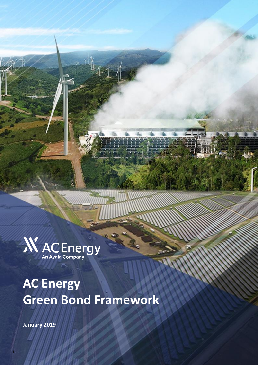

**January 2019**

1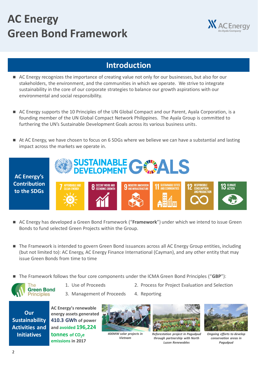

#### **Introduction**

- AC Energy recognizes the importance of creating value not only for our businesses, but also for our stakeholders, the environment, and the communities in which we operate. We strive to integrate sustainability in the core of our corporate strategies to balance our growth aspirations with our environmental and social responsibility.
- AC Energy supports the 10 Principles of the UN Global Compact and our Parent, Ayala Corporation, is a founding member of the UN Global Compact Network Philippines. The Ayala Group is committed to furthering the UN's Sustainable Development Goals across its various business units.
- At AC Energy, we have chosen to focus on 6 SDGs where we believe we can have a substantial and lasting impact across the markets we operate in.



- AC Energy has developed a Green Bond Framework ("Framework") under which we intend to issue Green Bonds to fund selected Green Projects within the Group.
- The Framework is intended to govern Green Bond issuances across all AC Energy Group entities, including (but not limited to): AC Energy, AC Energy Finance International (Cayman), and any other entity that may issue Green Bonds from time to time
- The Framework follows the four core components under the ICMA Green Bond Principles ("**GBP**"):



- 
- 1. Use of Proceeds 2. Process for Project Evaluation and Selection



3. Management of Proceeds 4. Reporting



**Initiatives** *400MW solar projects in*  **tonnes of CO2e AC Energy's renewable energy assets generated 410.3 GWh of power and avoided 196,224 emissions in 2017**



*Vietnam* 



*Reforestation project in Pagudpud through partnership with North Luzon Renewables* 



*Ongoing efforts to develop conservation areas in Pagudpud*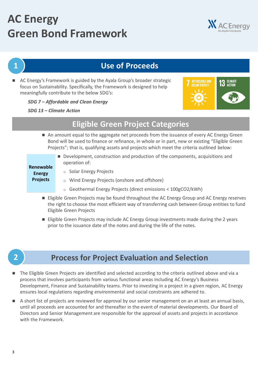

### **1 Use of Proceeds**

 AC Energy's Framework is guided by the Ayala Group's broader strategic focus on Sustainability. Specifically, the Framework is designed to help meaningfully contribute to the below SDG's:

*SDG 7 – Affordable and Clean Energy*

*SDG 13 – Climate Action*



#### **Eligible Green Project Categories Renewable Energy Projects** An amount equal to the aggregate net proceeds from the issuance of every AC Energy Green Bond will be used to finance or refinance, in whole or in part, new or existing "Eligible Green Projects"; that is, qualifying assets and projects which meet the criteria outlined below: Development, construction and production of the components, acquisitions and operation of: o Solar Energy Projects o Wind Energy Projects (onshore and offshore)

- o Geothermal Energy Projects (direct emissions < 100gCO2/kWh)
- Eligible Green Projects may be found throughout the AC Energy Group and AC Energy reserves the right to choose the most efficient way of transferring cash between Group entities to fund Eligible Green Projects
- **Eligible Green Projects may include AC Energy Group investments made during the 2 years** prior to the issuance date of the notes and during the life of the notes.

### **2 Process for Project Evaluation and Selection**

- The Eligible Green Projects are identified and selected according to the criteria outlined above and via a process that involves participants from various functional areas including AC Energy's Business Development, Finance and Sustainability teams. Prior to investing in a project in a given region, AC Energy ensures local regulations regarding environmental and social constraints are adhered to.
- A short list of projects are reviewed for approval by our senior management on an at least an annual basis, until all proceeds are accounted for and thereafter in the event of material developments. Our Board of Directors and Senior Management are responsible for the approval of assets and projects in accordance with the Framework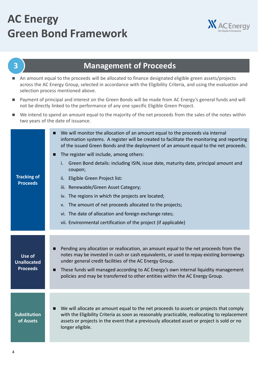



#### **Management of Proceeds**

- An amount equal to the proceeds will be allocated to finance designated eligible green assets/projects across the AC Energy Group, selected in accordance with the Eligibility Criteria, and using the evaluation and selection process mentioned above.
- Payment of principal and interest on the Green Bonds will be made from AC Energy's general funds and will not be directly linked to the performance of any one specific Eligible Green Project.
- We intend to spend an amount equal to the majority of the net proceeds from the sales of the notes within two years of the date of issuance.

| <b>Tracking of</b><br><b>Proceeds</b>           | We will monitor the allocation of an amount equal to the proceeds via internal<br>information systems. A register will be created to facilitate the monitoring and reporting<br>of the issued Green Bonds and the deployment of an amount equal to the net proceeds.<br>The register will include, among others:<br>п<br>Green Bond details: including ISIN, issue date, maturity date, principal amount and<br>i.<br>coupon;<br>Eligible Green Project list:<br>ii.<br>iii. Renewable/Green Asset Category;<br>iv. The regions in which the projects are located;<br>v. The amount of net proceeds allocated to the projects;<br>vi. The date of allocation and foreign exchange rates;<br>vii. Environmental certification of the project (if applicable) |
|-------------------------------------------------|-------------------------------------------------------------------------------------------------------------------------------------------------------------------------------------------------------------------------------------------------------------------------------------------------------------------------------------------------------------------------------------------------------------------------------------------------------------------------------------------------------------------------------------------------------------------------------------------------------------------------------------------------------------------------------------------------------------------------------------------------------------|
| Use of<br><b>Unallocated</b><br><b>Proceeds</b> | Pending any allocation or reallocation, an amount equal to the net proceeds from the<br>п<br>notes may be invested in cash or cash equivalents, or used to repay existing borrowings<br>under general credit facilities of the AC Energy Group.<br>These funds will managed according to AC Energy's own internal liquidity management<br>п<br>policies and may be transferred to other entities within the AC Energy Group.                                                                                                                                                                                                                                                                                                                                |
| <b>Substitution</b><br>of Assets                | We will allocate an amount equal to the net proceeds to assets or projects that comply<br>п<br>with the Eligibility Criteria as soon as reasonably practicable, reallocating to replacement<br>assets or projects in the event that a previously allocated asset or project is sold or no<br>longer eligible.                                                                                                                                                                                                                                                                                                                                                                                                                                               |